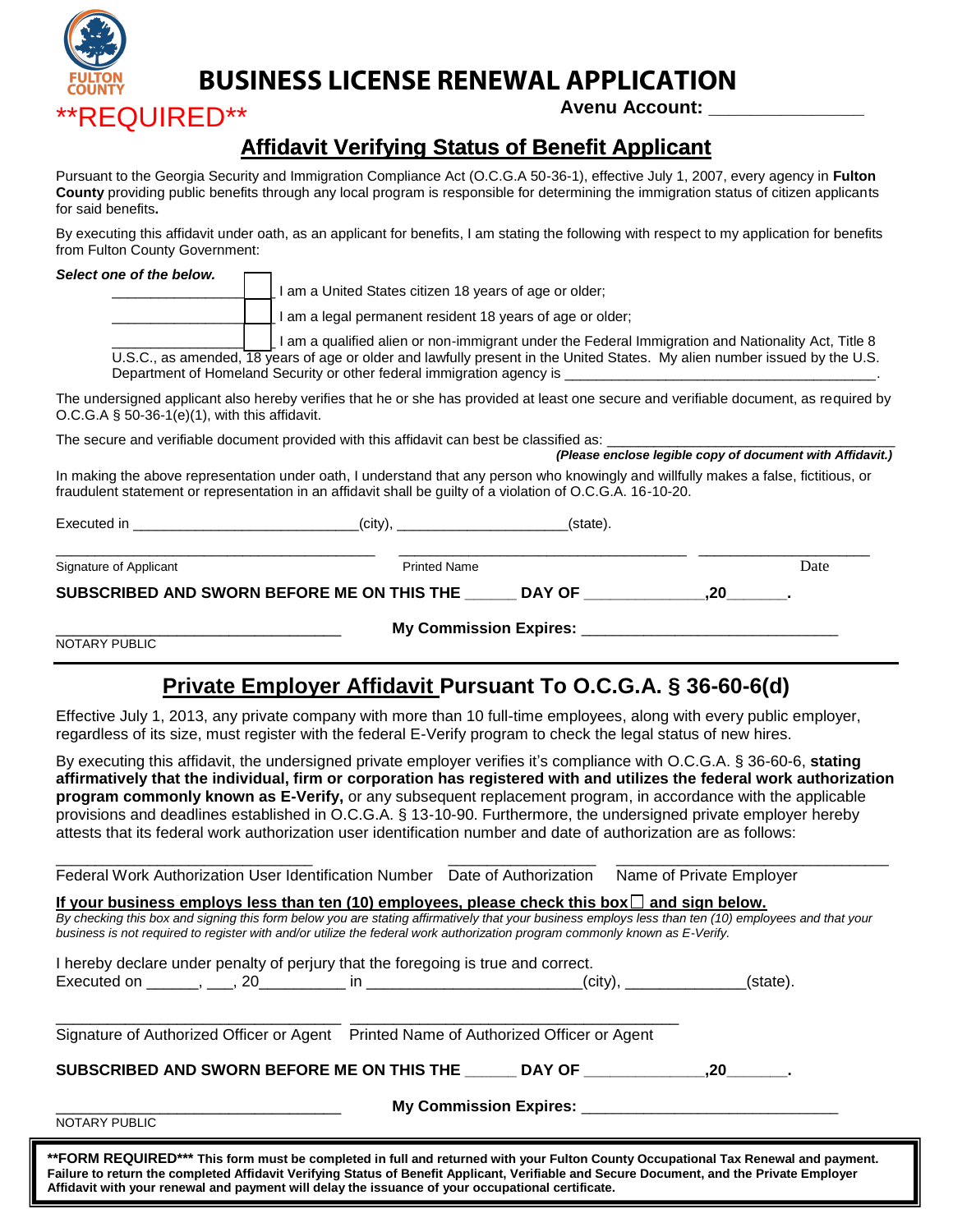

**BUSINESS LICENSE RENEWAL APPLICATION**

 $\mathsf{QuIRED^{**}}$  Avenu Account:

## **Affidavit Verifying Status of Benefit Applicant**

Pursuant to the Georgia Security and Immigration Compliance Act (O.C.G.A 50-36-1), effective July 1, 2007, every agency in **Fulton County** providing public benefits through any local program is responsible for determining the immigration status of citizen applicants for said benefits**.** 

By executing this affidavit under oath, as an applicant for benefits, I am stating the following with respect to my application for benefits from Fulton County Government:

| Select one of the below.                                                                       |                                                                        |                                                                                                                                                                                                                                                      |                                                                                                                                        |  |  |  |  |
|------------------------------------------------------------------------------------------------|------------------------------------------------------------------------|------------------------------------------------------------------------------------------------------------------------------------------------------------------------------------------------------------------------------------------------------|----------------------------------------------------------------------------------------------------------------------------------------|--|--|--|--|
|                                                                                                |                                                                        |                                                                                                                                                                                                                                                      |                                                                                                                                        |  |  |  |  |
|                                                                                                |                                                                        | I am a legal permanent resident 18 years of age or older;                                                                                                                                                                                            |                                                                                                                                        |  |  |  |  |
|                                                                                                | Department of Homeland Security or other federal immigration agency is | I am a qualified alien or non-immigrant under the Federal Immigration and Nationality Act, Title 8<br>U.S.C., as amended, 18 years of age or older and lawfully present in the United States. My alien number issued by the U.S.                     |                                                                                                                                        |  |  |  |  |
| O.C.G.A $\S$ 50-36-1(e)(1), with this affidavit.                                               |                                                                        |                                                                                                                                                                                                                                                      | The undersigned applicant also hereby verifies that he or she has provided at least one secure and verifiable document, as required by |  |  |  |  |
| The secure and verifiable document provided with this affidavit can best be classified as: ___ |                                                                        |                                                                                                                                                                                                                                                      | (Please enclose legible copy of document with Affidavit.)                                                                              |  |  |  |  |
|                                                                                                |                                                                        | In making the above representation under oath, I understand that any person who knowingly and willfully makes a false, fictitious, or<br>fraudulent statement or representation in an affidavit shall be guilty of a violation of O.C.G.A. 16-10-20. |                                                                                                                                        |  |  |  |  |
| Executed in $\qquad \qquad \qquad \text{(city)},$                                              |                                                                        | (state).                                                                                                                                                                                                                                             |                                                                                                                                        |  |  |  |  |
| Signature of Applicant                                                                         |                                                                        | <b>Printed Name</b>                                                                                                                                                                                                                                  | Date                                                                                                                                   |  |  |  |  |
| SUBSCRIBED AND SWORN BEFORE ME ON THIS THE                                                     |                                                                        | DAY OF <b>State State</b>                                                                                                                                                                                                                            | .20                                                                                                                                    |  |  |  |  |

My Commission Expires:

NOTARY PUBLIC

## **Private Employer Affidavit Pursuant To O.C.G.A. § 36-60-6(d)**

Effective July 1, 2013, any private company with more than 10 full-time employees, along with every public employer, regardless of its size, must register with the federal E-Verify program to check the legal status of new hires.

By executing this affidavit, the undersigned private employer verifies it's compliance with O.C.G.A. § 36-60-6, **stating affirmatively that the individual, firm or corporation has registered with and utilizes the federal work authorization program commonly known as E-Verify,** or any subsequent replacement program, in accordance with the applicable provisions and deadlines established in O.C.G.A. § 13-10-90. Furthermore, the undersigned private employer hereby attests that its federal work authorization user identification number and date of authorization are as follows:

| SUBSCRIBED AND SWORN BEFORE ME ON THIS THE DAY OF  20                                                                                                                                                                                                                                                                                                                                      |  |                          |  |
|--------------------------------------------------------------------------------------------------------------------------------------------------------------------------------------------------------------------------------------------------------------------------------------------------------------------------------------------------------------------------------------------|--|--------------------------|--|
| Signature of Authorized Officer or Agent  Printed Name of Authorized Officer or Agent                                                                                                                                                                                                                                                                                                      |  |                          |  |
|                                                                                                                                                                                                                                                                                                                                                                                            |  |                          |  |
| I hereby declare under penalty of perjury that the foregoing is true and correct.                                                                                                                                                                                                                                                                                                          |  |                          |  |
| If your business employs less than ten (10) employees, please check this box $\Box$ and sign below.<br>By checking this box and signing this form below you are stating affirmatively that your business employs less than ten (10) employees and that your<br>business is not required to register with and/or utilize the federal work authorization program commonly known as E-Verify. |  |                          |  |
| Federal Work Authorization User Identification Number Date of Authorization                                                                                                                                                                                                                                                                                                                |  | Name of Private Employer |  |

**Affidavit with your renewal and payment will delay the issuance of your occupational certificate.**